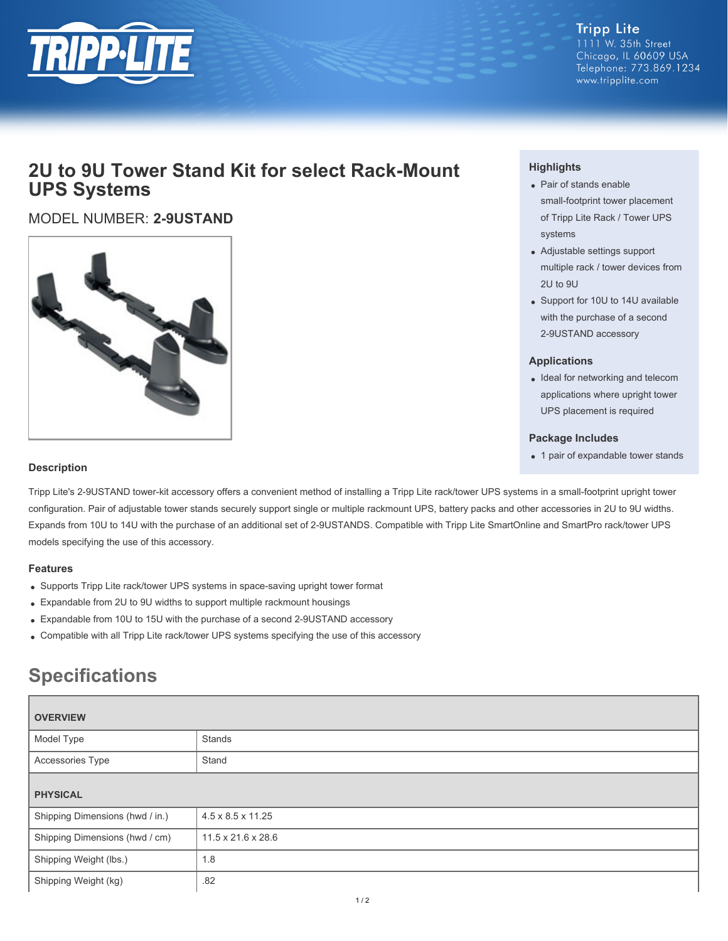

**Tripp Lite** 1111 W. 35th Street Chicago, IL 60609 USA Telephone: 773.869.1234 www.tripplite.com

# **2U to 9U Tower Stand Kit for select Rack-Mount UPS Systems**

## MODEL NUMBER: **2-9USTAND**



### **Highlights**

- Pair of stands enable small-footprint tower placement of Tripp Lite Rack / Tower UPS systems
- Adjustable settings support multiple rack / tower devices from 2U to 9U
- Support for 10U to 14U available with the purchase of a second 2-9USTAND accessory

#### **Applications**

• Ideal for networking and telecom applications where upright tower UPS placement is required

#### **Package Includes**

• 1 pair of expandable tower stands

#### **Description**

Tripp Lite's 2-9USTAND tower-kit accessory offers a convenient method of installing a Tripp Lite rack/tower UPS systems in a small-footprint upright tower configuration. Pair of adjustable tower stands securely support single or multiple rackmount UPS, battery packs and other accessories in 2U to 9U widths. Expands from 10U to 14U with the purchase of an additional set of 2-9USTANDS. Compatible with Tripp Lite SmartOnline and SmartPro rack/tower UPS models specifying the use of this accessory.

#### **Features**

- Supports Tripp Lite rack/tower UPS systems in space-saving upright tower format
- Expandable from 2U to 9U widths to support multiple rackmount housings
- Expandable from 10U to 15U with the purchase of a second 2-9USTAND accessory
- Compatible with all Tripp Lite rack/tower UPS systems specifying the use of this accessory

# **Specifications**

| <b>OVERVIEW</b>                 |                                |
|---------------------------------|--------------------------------|
| Model Type                      | Stands                         |
| Accessories Type                | Stand                          |
| <b>PHYSICAL</b>                 |                                |
| Shipping Dimensions (hwd / in.) | $4.5 \times 8.5 \times 11.25$  |
| Shipping Dimensions (hwd / cm)  | $11.5 \times 21.6 \times 28.6$ |
| Shipping Weight (lbs.)          | 1.8                            |
| Shipping Weight (kg)            | .82                            |